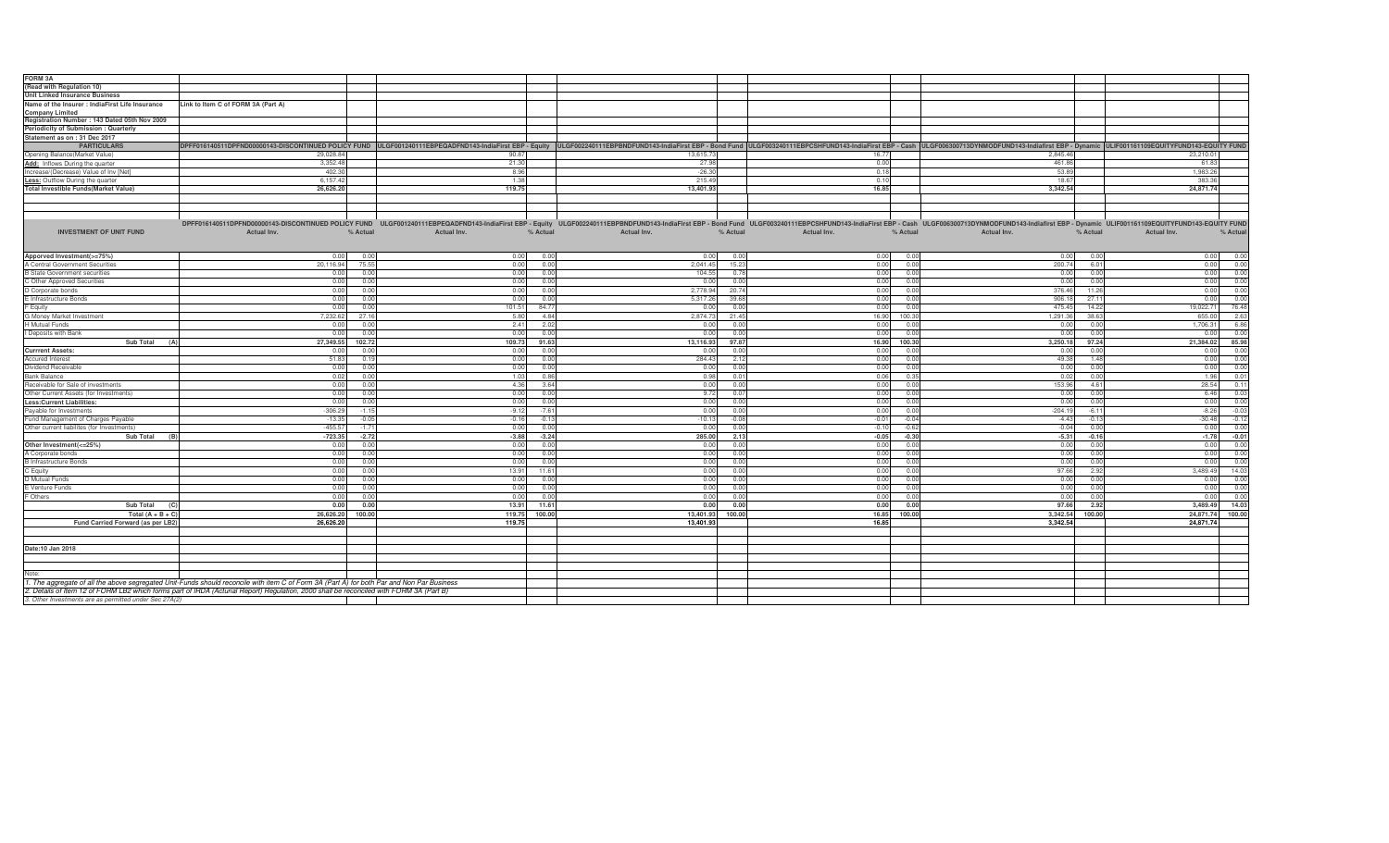| <b>FORM 3A</b>                                                                                                                                                                                                                                                                        |                                                                                                                                                                                                                                |                    |          |             |               |             |          |             |               |             |          |
|---------------------------------------------------------------------------------------------------------------------------------------------------------------------------------------------------------------------------------------------------------------------------------------|--------------------------------------------------------------------------------------------------------------------------------------------------------------------------------------------------------------------------------|--------------------|----------|-------------|---------------|-------------|----------|-------------|---------------|-------------|----------|
| (Read with Regulation 10)                                                                                                                                                                                                                                                             |                                                                                                                                                                                                                                |                    |          |             |               |             |          |             |               |             |          |
| <b>Unit Linked Insurance Business</b>                                                                                                                                                                                                                                                 |                                                                                                                                                                                                                                |                    |          |             |               |             |          |             |               |             |          |
| Name of the Insurer : IndiaFirst Life Insurance                                                                                                                                                                                                                                       | Link to Item C of FORM 3A (Part A)                                                                                                                                                                                             |                    |          |             |               |             |          |             |               |             |          |
|                                                                                                                                                                                                                                                                                       |                                                                                                                                                                                                                                |                    |          |             |               |             |          |             |               |             |          |
| Company Limited<br>Registration Number : 143 Dated 05th Nov 2009<br>Periodicity of Submission : Quarterly                                                                                                                                                                             |                                                                                                                                                                                                                                |                    |          |             |               |             |          |             |               |             |          |
|                                                                                                                                                                                                                                                                                       |                                                                                                                                                                                                                                |                    |          |             |               |             |          |             |               |             |          |
|                                                                                                                                                                                                                                                                                       |                                                                                                                                                                                                                                |                    |          |             |               |             |          |             |               |             |          |
| Statement as on: 31 Dec 2017                                                                                                                                                                                                                                                          |                                                                                                                                                                                                                                |                    |          |             |               |             |          |             |               |             |          |
| <b>PARTICULARS</b>                                                                                                                                                                                                                                                                    | DPFF016140511DPFND00000143-DISCONTINUED POLICY FUND ULGF001240111EBPEQADFND143-IndiaFirst EBP - Equity ULGF002240111EBPBNDFUND143-IndiaFirst EBP - Equity ULGF00240111EBPBNDFUND143-IndiaFirst EBP - Bond Fund ULGF003240111EB |                    |          |             |               |             |          |             |               |             |          |
| Opening Balance(Market Value)                                                                                                                                                                                                                                                         | 29,028.84                                                                                                                                                                                                                      | 90.87              |          | 13,615.73   |               | 16.77       |          | 2,845.46    |               | 23,210.01   |          |
| Add: Inflows During the quarter<br>Increase/(Decrease) Value of Inv [Net]                                                                                                                                                                                                             | 3.352.48                                                                                                                                                                                                                       | 21.30              |          | 27.98       |               | 0.00        |          | 461.86      |               | 61.83       |          |
|                                                                                                                                                                                                                                                                                       | 402.30                                                                                                                                                                                                                         | 8.96               |          | $-26.30$    |               | 0.18        |          | 53.89       |               | 1,983.26    |          |
| Less: Outflow During the quarter                                                                                                                                                                                                                                                      | 6,157.42                                                                                                                                                                                                                       | 1.38               |          | 215.49      |               | 0.10        |          | 18.67       |               | 383.36      |          |
| <b>Total Investible Funds(Market Value)</b>                                                                                                                                                                                                                                           | 26,626.20                                                                                                                                                                                                                      | 119.75             |          | 13,401.93   |               | 16.85       |          | 3,342.54    |               | 24.871.74   |          |
|                                                                                                                                                                                                                                                                                       |                                                                                                                                                                                                                                |                    |          |             |               |             |          |             |               |             |          |
|                                                                                                                                                                                                                                                                                       |                                                                                                                                                                                                                                |                    |          |             |               |             |          |             |               |             |          |
|                                                                                                                                                                                                                                                                                       |                                                                                                                                                                                                                                |                    |          |             |               |             |          |             |               |             |          |
|                                                                                                                                                                                                                                                                                       |                                                                                                                                                                                                                                |                    |          |             |               |             |          |             |               |             |          |
|                                                                                                                                                                                                                                                                                       | DPFF016140511DPFND00000143-DISCONTINUED POLICY FUND ULGF001240111EBPEQADFND143-IndiaFirst EBP - Equity ULGF002240111EBPBNDFUND143-IndiaFirst EBP - Bond Fund ULGF003240111EBPENDFUND143-IndiaFirst EBP - Cash ULGF006300713DYN |                    |          |             |               |             |          |             |               |             |          |
| <b>INVESTMENT OF UNIT FUND</b>                                                                                                                                                                                                                                                        | % Actual<br>Actual Inv.                                                                                                                                                                                                        | <b>Actual Inv.</b> | % Actual | Actual Inv. | % Actual      | Actual Inv. | % Actual | Actual Inv. | % Actual      | Actual Inv. | % Actual |
|                                                                                                                                                                                                                                                                                       |                                                                                                                                                                                                                                |                    |          |             |               |             |          |             |               |             |          |
|                                                                                                                                                                                                                                                                                       |                                                                                                                                                                                                                                |                    |          |             |               |             |          |             |               |             |          |
|                                                                                                                                                                                                                                                                                       |                                                                                                                                                                                                                                |                    |          |             |               |             |          |             |               |             |          |
| Apporved Investment(>=75%)                                                                                                                                                                                                                                                            | 0.00<br>0.00                                                                                                                                                                                                                   | 0.00               | 0.0      | 0.00        | 0.00          | 0.00        | 0.00     | 0.00        | 0.00          | 0.00        | 0.00     |
| A Central Government Securities                                                                                                                                                                                                                                                       | 20,116.94<br>75.5                                                                                                                                                                                                              | 0.00               | 0.0      | 2,041.45    | 15.2          | 0.00        | 0.00     | 200.74      | $6.0^{\circ}$ | 0.00        | 0.00     |
| <b>B State Government securities</b>                                                                                                                                                                                                                                                  | 0.00                                                                                                                                                                                                                           | 0.00               | 0.0      | 104.5       | 0.7           | 0.00        | 0.00     | 0.00        | 0.00          | 0.00        | 0.00     |
| C Other Approved Securities                                                                                                                                                                                                                                                           | 0.00<br>0.00                                                                                                                                                                                                                   | 0.00               | 0.0      | 0.00        | 0.00          | 0.00        | 0.00     | 0.00        | 0.00          | 0.00        | 0.00     |
| D Corporate bonds                                                                                                                                                                                                                                                                     | 0.00<br>0.0(                                                                                                                                                                                                                   | 0.00               | 0.0      | 2,778.94    | 20.7          | 0.00        | 0.00     | 376.46      | 11.26         | 0.00        | 0.00     |
| E Infrastructure Bonds                                                                                                                                                                                                                                                                | 0.00<br>0.00                                                                                                                                                                                                                   | 0.00               | 0.0      | 5,317.26    | 39.68         | 0.00        | 0.00     | 906.18      | 27.1          | 0.00        | 0.00     |
|                                                                                                                                                                                                                                                                                       | 0.00<br>0.00                                                                                                                                                                                                                   | 101.51             | 84.7     | 0.00        | 0.00          | 0.00        | 0.00     | 475.45      | 14.22         | 19.022.71   | 76.48    |
| F Equity                                                                                                                                                                                                                                                                              |                                                                                                                                                                                                                                |                    |          |             |               |             |          |             |               |             |          |
| G Money Market Investment                                                                                                                                                                                                                                                             | 7.232.62<br>27.16                                                                                                                                                                                                              | 5.80               | 4.84     | 2.874.7     | 21.4          | 16.90       | 100.30   | 1.291.36    | 38.63         | 655.00      | 2.63     |
| <b>H</b> Mutual Funds                                                                                                                                                                                                                                                                 | 0.00<br>0.00                                                                                                                                                                                                                   | 2.41               | 2.02     | 0.00        | 0.00          | 0.00        | 0.00     | 0.00        | 0.00          | 1,706.3     | 6.86     |
| I Deposits with Bank                                                                                                                                                                                                                                                                  | 0.00<br>0.00                                                                                                                                                                                                                   | 0.00               | 0.0      | 0.01        | 0.0           | 0.00        | 0.00     | 0.00        | 0.00          | 0.00        | 0.00     |
| Sub Total<br><b>(Δ</b>                                                                                                                                                                                                                                                                | 27,349.55<br>102.72                                                                                                                                                                                                            | 109.73             | 91.63    | 13,116.93   | 97.87         | 16.90       | 100.30   | 3.250.18    | 97.24         | 21.384.02   | 85.98    |
| <b>Currrent Assets:</b>                                                                                                                                                                                                                                                               | 0.00<br>0.00                                                                                                                                                                                                                   | 0.00               | 0.0      | 0.00        | 0.00          | 0.00        | 0.00     | 0.00        | 0.00          | 0.00        | 0.00     |
| Accured Interest                                                                                                                                                                                                                                                                      | 51.83<br>0.19                                                                                                                                                                                                                  | 0.00               | 0.0      | 284.43      | 2.1           | 0.00        | 0.00     | 49.38       | 1.48          | 0.00        | 0.00     |
| Dividend Receivable                                                                                                                                                                                                                                                                   |                                                                                                                                                                                                                                |                    | 0.0      |             |               |             |          |             |               |             | 0.00     |
|                                                                                                                                                                                                                                                                                       | 0.00<br>0.00                                                                                                                                                                                                                   | 0.00               |          | 0.00        | 0.00          | 0.00        | 0.00     | 0.00        | 0.00          | 0.00        |          |
| <b>Bank Balance</b>                                                                                                                                                                                                                                                                   | 0.02<br>0.00                                                                                                                                                                                                                   | 1.03               | 0.86     | 0.98        | $0.0^{\circ}$ | 0.06        | 0.35     | 0.02        | 0.00          | 1.96        | 0.01     |
| Receivable for Sale of investments                                                                                                                                                                                                                                                    | 0.00<br>0.00                                                                                                                                                                                                                   | 4.36               | 3.64     | 0.00        | 0.0           | 0.00        | 0.00     | 153.96      | 4.61          | 28.54       | 0.1      |
| Other Current Assets (for Investments)                                                                                                                                                                                                                                                | 0.00<br>0.00                                                                                                                                                                                                                   | 0.00               | 0.0      | 9.72        | 0.0           | 0.00        | 0.00     | 0.00        | 0.00          | 6.46        | 0.03     |
| <b>Less:Current Liabilities:</b>                                                                                                                                                                                                                                                      | 0.00<br>0.00                                                                                                                                                                                                                   | 0.00               | 0.0      | 0.00        | 0.00          | 0.00        | 0.00     | 0.00        | 0.00          | 0.00        | 0.00     |
| Pavable for Investments                                                                                                                                                                                                                                                               | $-306.29$<br>$-1.15$                                                                                                                                                                                                           | $-9.12$            | $-7.61$  | 0.00        | 0.00          | 0.00        | 0.00     | $-204.19$   | $-6.11$       | $-8.26$     | $-0.03$  |
| Fund Management of Charges Payable                                                                                                                                                                                                                                                    | $-13.35$<br>$-0.05$                                                                                                                                                                                                            | $-0.16$            | $-0.13$  | $-10.13$    | $-0.08$       | $-0.01$     | $-0.04$  | $-4.43$     | $-0.13$       | $-30.48$    | $-0.12$  |
|                                                                                                                                                                                                                                                                                       |                                                                                                                                                                                                                                |                    |          |             |               |             |          |             |               |             |          |
| Other current liabilites (for Investments)                                                                                                                                                                                                                                            | $-455.5$<br>$-1.71$                                                                                                                                                                                                            | 0.00               | 0.0      | 0.00        | 0.00          | $-0.10$     | $-0.62$  | $-0.04$     | 0.00          | 0.00        | 0.00     |
| <b>Sub Total</b>                                                                                                                                                                                                                                                                      | $-723.35$<br>$-2.72$                                                                                                                                                                                                           | $-3.88$            | $-3.24$  | 285.00      | 2.13          | $-0.05$     | $-0.30$  | $-5.31$     | $-0.16$       | $-1.78$     | $-0.01$  |
| Other Investment(<=25%)                                                                                                                                                                                                                                                               | 0.00<br>0.00                                                                                                                                                                                                                   | 0.00               | 0.00     | 0.00        | 0.00          | 0.00        | 0.00     | 0.00        | 0.00          | 0.00        | 0.00     |
| A Corporate bonds                                                                                                                                                                                                                                                                     | 0.00<br>0.00                                                                                                                                                                                                                   | 0.00               | 0.0      | 0.00        | 0.00          | 0.00        | 0.00     | 0.00        | 0.00          | 0.00        | 0.00     |
| <b>B</b> Infrastructure Bonds                                                                                                                                                                                                                                                         | 0.00<br>0.00                                                                                                                                                                                                                   | 0.00               |          | 0.00        | 0.00          | 0.00        | 0.00     | 0.00        | 0.00          | 0.00        | 0.00     |
| C Equity                                                                                                                                                                                                                                                                              | 0.00<br>0.00                                                                                                                                                                                                                   | 13.91              | 11.61    | 0.00        | 0.00          | 0.00        | 0.00     | 97.66       | 2.92          | 3.489.49    | 14.03    |
| D Mutual Funds                                                                                                                                                                                                                                                                        | 0.00<br>0.00                                                                                                                                                                                                                   | 0.00               | 0.00     | 0.00        | 0.00          | 0.00        | 0.00     | 0.00        | 0.00          | 0.00        | 0.00     |
|                                                                                                                                                                                                                                                                                       |                                                                                                                                                                                                                                |                    |          |             |               |             |          |             |               |             |          |
| E Venture Funds                                                                                                                                                                                                                                                                       | 0.00<br>0.00                                                                                                                                                                                                                   | 0.00               |          | 0.00        | 0.0           | 0.00        | 0.00     | 0.00        | 0.0(          | 0.00        | 0.00     |
| F Others                                                                                                                                                                                                                                                                              | 0.00<br>0.00                                                                                                                                                                                                                   | 0.00               |          | 0.00        | 0.00          | 0.00        | 0.00     | 0.00        | 0.0(          | 0.00        | 0.00     |
| <b>Sub Total</b>                                                                                                                                                                                                                                                                      | 0.00<br>0.00                                                                                                                                                                                                                   | 13.91              | 11.61    | 0.00        | 0.00          | 0.00        | 0.00     | 97.66       | 2.92          | 3,489.49    | 14.03    |
| Total $(A + B + C)$                                                                                                                                                                                                                                                                   | 26,626,20<br>100.00                                                                                                                                                                                                            | 119.75             | 100.00   | 13,401.93   | 100.00        | 16.85       | 100.00   | 3.342.54    | 100.00        | 24,871.74   | 100.00   |
| Fund Carried Forward (as per LB2)                                                                                                                                                                                                                                                     | 26,626.20                                                                                                                                                                                                                      | 119.75             |          | 13,401.93   |               | 16.85       |          | 3.342.54    |               | 24,871.74   |          |
|                                                                                                                                                                                                                                                                                       |                                                                                                                                                                                                                                |                    |          |             |               |             |          |             |               |             |          |
|                                                                                                                                                                                                                                                                                       |                                                                                                                                                                                                                                |                    |          |             |               |             |          |             |               |             |          |
|                                                                                                                                                                                                                                                                                       |                                                                                                                                                                                                                                |                    |          |             |               |             |          |             |               |             |          |
| Date:10 Jan 2018                                                                                                                                                                                                                                                                      |                                                                                                                                                                                                                                |                    |          |             |               |             |          |             |               |             |          |
|                                                                                                                                                                                                                                                                                       |                                                                                                                                                                                                                                |                    |          |             |               |             |          |             |               |             |          |
|                                                                                                                                                                                                                                                                                       |                                                                                                                                                                                                                                |                    |          |             |               |             |          |             |               |             |          |
| Nnte                                                                                                                                                                                                                                                                                  |                                                                                                                                                                                                                                |                    |          |             |               |             |          |             |               |             |          |
|                                                                                                                                                                                                                                                                                       |                                                                                                                                                                                                                                |                    |          |             |               |             |          |             |               |             |          |
| 1. The aggregate of all the above segregated Unit-Funds should reconcile with item C of Form 3A (Part A) for both Par and Non Par Business<br>2. Details of Item 12 of FORM LB2 which forms part of IRDA (Acturial Report) Regulation, 2000 shall be reconciled with FORM 3A (Part B) |                                                                                                                                                                                                                                |                    |          |             |               |             |          |             |               |             |          |
|                                                                                                                                                                                                                                                                                       |                                                                                                                                                                                                                                |                    |          |             |               |             |          |             |               |             |          |
| 3. Other Investments are as permitted under Sec 27A(2)                                                                                                                                                                                                                                |                                                                                                                                                                                                                                |                    |          |             |               |             |          |             |               |             |          |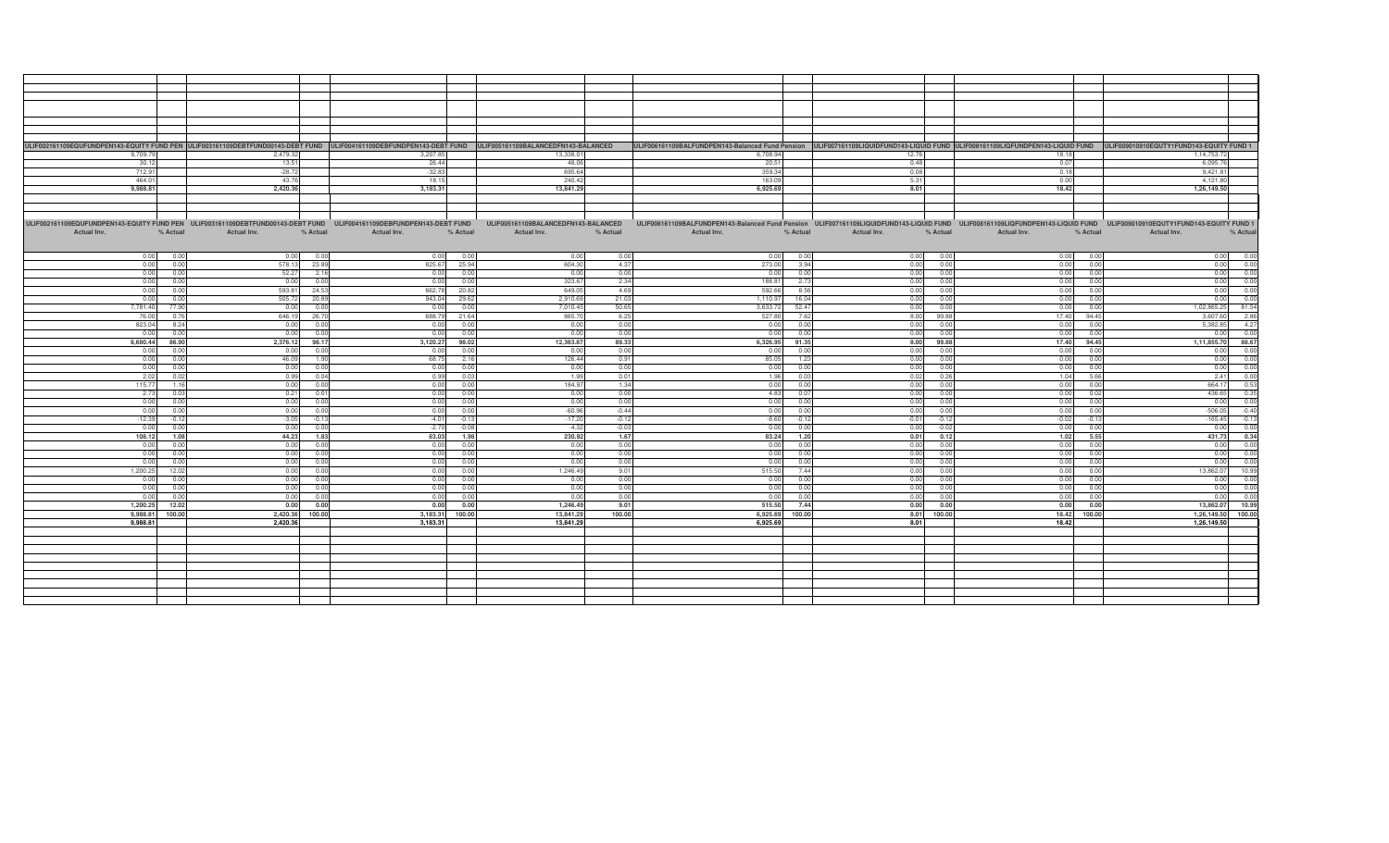|             |          |             |          |                                                                                                                      |                                     |          | ULIF002161109EQUFUNDPEN143-EQUITY FUND PEN  ULIF003161109DEBTFUND00143-DEBT FUND  ULIF004161109DEBFUNDPEN143-DEBT FUND  ULIF005161109BALANCEDFN143-BALANCEDFN143-BALANCEDFN143-Balanced Fund Pension  ULIF007161109LQUIDFUND14 |          |                         |             |              |             |          |
|-------------|----------|-------------|----------|----------------------------------------------------------------------------------------------------------------------|-------------------------------------|----------|--------------------------------------------------------------------------------------------------------------------------------------------------------------------------------------------------------------------------------|----------|-------------------------|-------------|--------------|-------------|----------|
| 9,709.79    |          | 2,479.32    |          | 3,207.85                                                                                                             | 13.338.01                           |          | 6,708.94                                                                                                                                                                                                                       |          | 12.76                   | 18.18       |              | 1.14.753.72 |          |
| 30.12       |          | 13.51       |          | 26.44                                                                                                                | 48.06                               |          | 20.51                                                                                                                                                                                                                          |          | 0.48                    | 0.07        |              | 6,095.76    |          |
| 712.91      |          | $-28.72$    |          | $-32.83$                                                                                                             | 695.64                              |          | 359.34                                                                                                                                                                                                                         |          | 0.08                    | 0.18        |              | 9.421.81    |          |
| 464.01      |          | 43.76       |          | 18.15                                                                                                                | 240.42                              |          | 163.09                                                                                                                                                                                                                         |          | 5.31                    | 0.00        |              | 4.121.80    |          |
| 9.988.81    |          | 2.420.36    |          | 3,183.31                                                                                                             |                                     |          | 6.925.69                                                                                                                                                                                                                       |          | 8.01                    | 18.42       |              |             |          |
|             |          |             |          |                                                                                                                      | 13,841.29                           |          |                                                                                                                                                                                                                                |          |                         |             |              | 1,26,149.50 |          |
|             |          |             |          |                                                                                                                      |                                     |          |                                                                                                                                                                                                                                |          |                         |             |              |             |          |
|             |          |             |          |                                                                                                                      |                                     |          |                                                                                                                                                                                                                                |          |                         |             |              |             |          |
|             |          |             |          |                                                                                                                      |                                     |          |                                                                                                                                                                                                                                |          |                         |             |              |             |          |
|             |          |             |          | ULIF002161109EQUFUNDPEN143-EQUITY FUND PEN ULIF003161109DEBTFUND00143-DEBT FUND ULIF004161109DEBFUNDPEN143-DEBT FUND | ULIF005161109BALANCEDFN143-BALANCED |          | ULIF006161109BALFUNDPEN143-Balanced Fund Pension ULIF007161109LIQUIDFUND143-LIQUID FUND ULIF008161109LIQFUNDPEN143-LIQUID FUND ULIF009010910EQUTY1FUND143-EQUITY FUND 1                                                        |          |                         |             |              |             |          |
| Actual Inv. | % Actual | Actual Inv. | % Actual | Actual Inv.<br>% Actual                                                                                              | Actual Inv.                         | % Actual | Actual Inv.                                                                                                                                                                                                                    | % Actual | Actual Inv.<br>% Actual | Actual Inv. | % Actual     | Actual Inv. | % Actual |
|             |          |             |          |                                                                                                                      |                                     |          |                                                                                                                                                                                                                                |          |                         |             |              |             |          |
|             |          |             |          |                                                                                                                      |                                     |          |                                                                                                                                                                                                                                |          |                         |             |              |             |          |
|             | 0.00     | 0.00        | 0.00     | 0.00<br>0.00                                                                                                         | 0.00                                |          |                                                                                                                                                                                                                                |          |                         | 0.00        | 0.00         |             | 0.00     |
| 0.00        |          |             |          |                                                                                                                      |                                     | 0.00     | 0.00                                                                                                                                                                                                                           | 0.00     | 0.00<br>0.00            |             |              | 0.00        |          |
| 0.00        | 0.00     | 578.13      | 23.89    | 825.67<br>25.94                                                                                                      | 604.30                              | 4.37     | 273.00                                                                                                                                                                                                                         | 3.94     | 0.00<br>0.00            | 0.00        | 0.0          | 0.00        | 0.00     |
| 0.00        | 0.00     | 52.27       | 2.16     | 0.00<br>0.00                                                                                                         | 0.00                                | 0.00     | 0.00                                                                                                                                                                                                                           | 0.00     | 0.00<br>0.00            | 0.00        | 0.0          | 0.00        | 0.00     |
| 0.00        | 0.00     | 0.00        | 0.00     | 0.00<br>0.00                                                                                                         | 323.67                              | 2.34     | 188.81                                                                                                                                                                                                                         | 2.73     | 0.00<br>0.00            | 0.00        | 0.0          | 0.00        | 0.00     |
| 0.00        | 0.00     | 593.81      | 24.53    | 20.82<br>662.78                                                                                                      | 649.05                              | 4.69     | 592.66                                                                                                                                                                                                                         | 8.56     | 0.00<br>0.00            | 0.00        | 0.00         | 0.00        | 0.00     |
| 0.00        | 0.00     | 505.72      | 20.89    | 943.04<br>29.62                                                                                                      | 2,910.69                            | 21.03    | 1,110.97                                                                                                                                                                                                                       | 16.04    | 0.00<br>0.00            | 0.00        | 0.00         | 0.00        | 0.00     |
| 7,781.40    | 77.90    | 0.00        | 0.00     | 0.00<br>0.00                                                                                                         | 7,010.45                            | 50.65    | 3,633.72                                                                                                                                                                                                                       | 52.47    | 0.00<br>0.00            | 0.00        | 0.00         | 1,02,865.25 | 81.54    |
|             | 0.76     | 646.19      | 26.70    | 21.64<br>688.79                                                                                                      | 865.7                               | 6.25     | 527.80                                                                                                                                                                                                                         | 7.62     | 8.00<br>99.88           | 17.40       | 94.45        | 3,607.60    | 2.86     |
| 76.00       |          |             |          |                                                                                                                      |                                     |          |                                                                                                                                                                                                                                |          |                         |             |              |             |          |
| 823.04      | 8.24     | 0.00        | 0.00     | 0.00<br>0.00                                                                                                         | 0.00                                | 0.00     | 0.00                                                                                                                                                                                                                           | 0.00     | 0.00<br>0.00            | 0.00        | 0.00         | 5,382.85    | 4.27     |
| 0.0         | 0.00     | 0.00        | 0.00     | 0.00<br>0.00                                                                                                         | 0.00                                | 0.00     | 0.00                                                                                                                                                                                                                           | 0.00     | 0.00<br>0.00            | 0.00        | 0.0          | 0.00        | 0.00     |
| 8,680.44    | 86.90    | 2,376.12    | 98.17    | 3,120.27<br>98.02                                                                                                    | 12,363.87                           | 89.33    | 6,326.95                                                                                                                                                                                                                       | 91.35    | 8.00<br>99.88           | 17.40       | 94.45        | 1,11,855.70 | 88.67    |
| 0.00        | 0.00     | 0.00        | 0.00     | 0.00<br>0.00                                                                                                         | 0.00                                | 0.00     | 0.00                                                                                                                                                                                                                           | 0.00     | 0.00<br>0.00            | 0.00        | 0.0          | 0.00        | 0.00     |
| 0.00        | 0.00     | 46.09       | 1.90     | 2.16<br>68.75                                                                                                        | 126.44                              | 0.91     | 85.05                                                                                                                                                                                                                          | 1.23     | 0.00<br>0.00            | 0.00        | 0.00         | 0.00        | 0.00     |
| 0.00        | 0.00     | 0.00        | 0.00     | 0.00<br>0.00                                                                                                         | 0.00                                | 0.00     | 0.00                                                                                                                                                                                                                           | 0.00     | 0.00<br>0.00            | 0.00        | 0.0          | 0.00        | 0.00     |
| 2.02        | 0.02     | 0.99        | 0.04     | 0.03<br>0.99                                                                                                         | 1.99                                | 0.01     | 1.96                                                                                                                                                                                                                           | 0.03     | 0.02<br>0.26            | 1.04        | 5.66         | 2.41        | 0.00     |
|             |          |             |          |                                                                                                                      |                                     |          |                                                                                                                                                                                                                                |          |                         |             |              |             |          |
| 115.77      | 1.16     | 0.00        | 0.00     | 0.00<br>0.00                                                                                                         | 184.97                              | 1.34     | 0.00                                                                                                                                                                                                                           | 0.00     | 0.00<br>0.00            | 0.00        | 0.0          | 664.17      | 0.53     |
| 2.73        | 0.03     | 0.21        | 0.01     | 0.00<br>0.00                                                                                                         | 0.00                                | 0.00     | 4.83                                                                                                                                                                                                                           | 0.07     | 0.00<br>0.00            | 0.00        |              | 436.65      | 0.35     |
| 0.00        | 0.00     | 0.00        | 0.00     | 0.00<br>0.00                                                                                                         | 0.00                                | 0.00     | 0.00                                                                                                                                                                                                                           | 0.00     | 0.00<br>0.00            | 0.00        | 0.00         | 0.00        | 0.00     |
| 0.00        | 0.00     | 0.00        | 0.00     | 0.00<br>0.00                                                                                                         | $-60.96$                            | $-0.44$  | 0.00                                                                                                                                                                                                                           | 0.00     | 0.00<br>0.00            | 0.00        | 0.00         | $-506.05$   | $-0.40$  |
| $-12.39$    | $-0.12$  | $-3.05$     | $-0.13$  | $-0.13$<br>$-4.01$                                                                                                   | $-17.20$                            | $-0.12$  | $-8.60$                                                                                                                                                                                                                        | $-0.12$  | $-0.12$<br>$-0.01$      | $-0.02$     | $-0.13$      | $-165.45$   | $-0.13$  |
| 0.0         | 0.00     | 0.00        | 0.00     | $-2.70$<br>$-0.08$                                                                                                   | $-4.32$                             | $-0.03$  | 0.00                                                                                                                                                                                                                           | 0.00     | 0.00<br>$-0.02$         | 0.00        | 0.0          | 0.00        | 0.00     |
| 108.12      | 1.08     | 44.23       | 1.83     | 63.03<br>1.98                                                                                                        | 230.92                              | 1.67     | 83.24                                                                                                                                                                                                                          | 1.20     | 0.01<br>0.12            | 1.02        | 5.55         | 431.73      | 0.34     |
| 0.00        | 0.00     | 0.00        | 0.00     | 0.00<br>0.00                                                                                                         | 0.00                                | 0.00     | 0.00                                                                                                                                                                                                                           | 0.00     | 0.00<br>0.00            | 0.00        | 00           | 0.00        | 0.00     |
| 0.00        | 0.00     | 0.00        | 0.00     | 0.00<br>0.00                                                                                                         | 0.00                                | 0.00     | 0.00                                                                                                                                                                                                                           | 0.00     | 0.00<br>0.00            | 0.00        | 0.00         | 0.00        | 0.00     |
|             |          |             |          |                                                                                                                      |                                     |          |                                                                                                                                                                                                                                |          |                         |             |              |             |          |
| 0.00        | 0.00     | 0.00        | 0.00     | 0.00<br>0.00                                                                                                         | 0.00                                | 0.00     | 0.00                                                                                                                                                                                                                           | 0.00     | 0.00<br>0.00            | 0.00        | 0.00         | 0.00        | 0.00     |
| 1,200.25    | 12.02    | 0.00        | 0.00     | 0.00<br>0.00                                                                                                         | 1,246.49                            | 9.01     | 515.50                                                                                                                                                                                                                         | 7.44     | 0.00<br>0.00            | 0.00        | 0.00         | 13,862.07   | 10.99    |
| 0.00        | 0.00     | 0.00        | 0.00     | 0.00<br>0.00                                                                                                         | 0.00                                | 0.00     | 0.00                                                                                                                                                                                                                           | 0.00     | 0.00<br>0.00            | 0.00        |              | 0.00        | 0.00     |
| 0.00        | 0.00     | 0.00        | 0.00     | 0.00<br>0.00                                                                                                         | 0.00                                | 0.00     | 0.00                                                                                                                                                                                                                           | 0.00     | 0.00<br>0.00            | 0.00        | n n          | 0.00        | 0.00     |
| 0.00        | 0.00     | 0.00        | 0.00     | 0.00<br>0.00                                                                                                         | 0.00                                | 0.00     | 0.00                                                                                                                                                                                                                           | 0.00     | 0.00<br>0.00            | 0.00        | 0.0          | 0.00        | 0.00     |
| 1.200.25    | 12.02    | 0.00        | 0.00     | 0.00<br>0.00                                                                                                         | 1.246.49                            | 9.01     | 515.50                                                                                                                                                                                                                         | 7.44     | 0.00<br>0.00            | 0.00        | 0.00         | 13,862.07   | 10.99    |
| 9.988.81    | 100.00   | 2.420.36    | 100.00   | 3.183.31<br>100.00                                                                                                   | 13,841.29                           | 100.00   | 6.925.69                                                                                                                                                                                                                       | 100.00   | 8.01 100.00             |             | 18.42 100.00 | 1,26,149.50 | 100.00   |
|             |          |             |          |                                                                                                                      |                                     |          |                                                                                                                                                                                                                                |          | 8.01                    |             |              |             |          |
| 9,988.81    |          | 2,420.36    |          | 3,183.31                                                                                                             | 13,841.29                           |          | 6,925.69                                                                                                                                                                                                                       |          |                         | 18.42       |              | 1,26,149.50 |          |
|             |          |             |          |                                                                                                                      |                                     |          |                                                                                                                                                                                                                                |          |                         |             |              |             |          |
|             |          |             |          |                                                                                                                      |                                     |          |                                                                                                                                                                                                                                |          |                         |             |              |             |          |
|             |          |             |          |                                                                                                                      |                                     |          |                                                                                                                                                                                                                                |          |                         |             |              |             |          |
|             |          |             |          |                                                                                                                      |                                     |          |                                                                                                                                                                                                                                |          |                         |             |              |             |          |
|             |          |             |          |                                                                                                                      |                                     |          |                                                                                                                                                                                                                                |          |                         |             |              |             |          |
|             |          |             |          |                                                                                                                      |                                     |          |                                                                                                                                                                                                                                |          |                         |             |              |             |          |
|             |          |             |          |                                                                                                                      |                                     |          |                                                                                                                                                                                                                                |          |                         |             |              |             |          |
|             |          |             |          |                                                                                                                      |                                     |          |                                                                                                                                                                                                                                |          |                         |             |              |             |          |
|             |          |             |          |                                                                                                                      |                                     |          |                                                                                                                                                                                                                                |          |                         |             |              |             |          |
|             |          |             |          |                                                                                                                      |                                     |          |                                                                                                                                                                                                                                |          |                         |             |              |             |          |